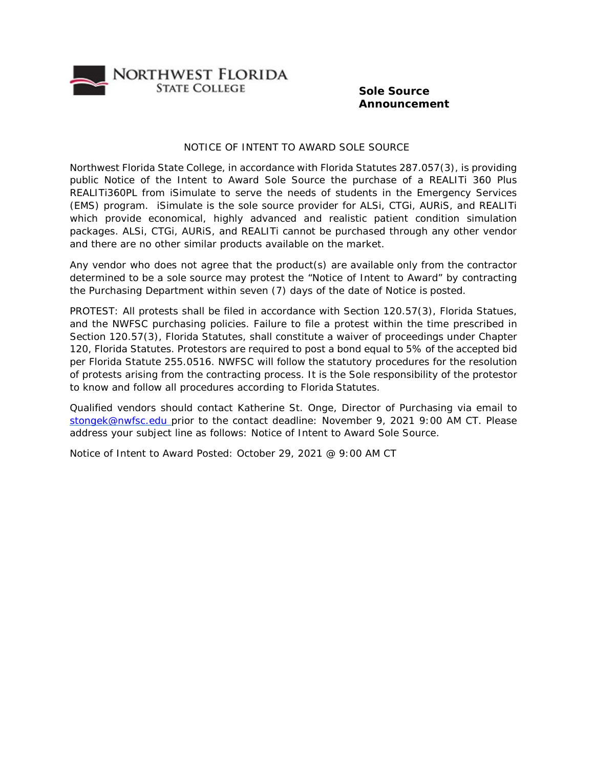

## **Sole Source Announcement**

## NOTICE OF INTENT TO AWARD SOLE SOURCE

Northwest Florida State College, in accordance with Florida Statutes 287.057(3), is providing public Notice of the Intent to Award Sole Source the purchase of a REALITi 360 Plus REALITi360PL from iSimulate to serve the needs of students in the Emergency Services (EMS) program. iSimulate is the sole source provider for ALSi, CTGi, AURiS, and REALITi which provide economical, highly advanced and realistic patient condition simulation packages. ALSi, CTGi, AURiS, and REALITi cannot be purchased through any other vendor and there are no other similar products available on the market.

Any vendor who does not agree that the product(s) are available only from the contractor determined to be a sole source may protest the "Notice of Intent to Award" by contracting the Purchasing Department within seven (7) days of the date of Notice is posted.

PROTEST: All protests shall be filed in accordance with Section 120.57(3), Florida Statues, and the NWFSC purchasing policies. Failure to file a protest within the time prescribed in Section 120.57(3), Florida Statutes, shall constitute a waiver of proceedings under Chapter 120, Florida Statutes. Protestors are required to post a bond equal to 5% of the accepted bid per Florida Statute 255.0516. NWFSC will follow the statutory procedures for the resolution of protests arising from the contracting process. It is the Sole responsibility of the protestor to know and follow all procedures according to Florida Statutes.

Qualified vendors should contact Katherine St. Onge, Director of Purchasing via email to [stongek@nwfsc.edu p](mailto:stongek@nwfsc.edu)rior to the contact deadline: November 9, 2021 9:00 AM CT. Please address your subject line as follows: Notice of Intent to Award Sole Source.

Notice of Intent to Award Posted: October 29, 2021 @ 9:00 AM CT